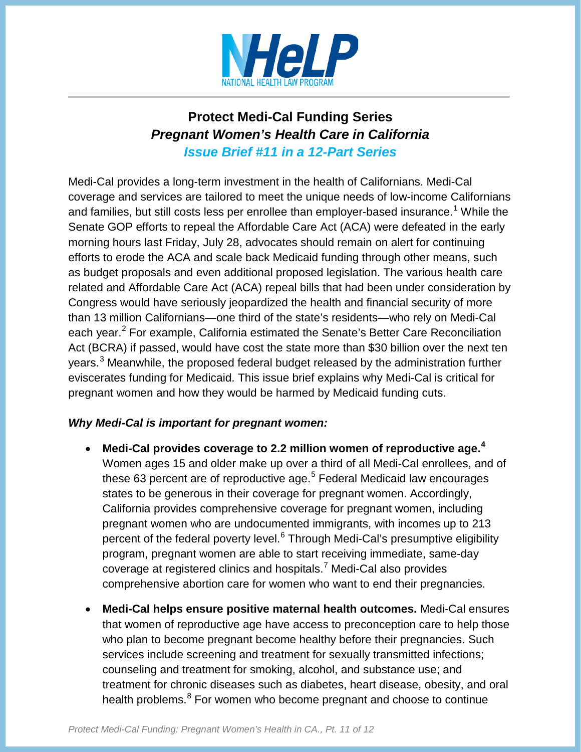

## **Protect Medi-Cal Funding Series**  *Pregnant Women's Health Care in California Issue Brief #11 in a 12-Part Series*

Medi-Cal provides a long-term investment in the health of Californians. Medi-Cal coverage and services are tailored to meet the unique needs of low-income Californians and families, but still costs less per enrollee than employer-based insurance.<sup>[1](#page-2-0)</sup> While the Senate GOP efforts to repeal the Affordable Care Act (ACA) were defeated in the early morning hours last Friday, July 28, advocates should remain on alert for continuing efforts to erode the ACA and scale back Medicaid funding through other means, such as budget proposals and even additional proposed legislation. The various health care related and Affordable Care Act (ACA) repeal bills that had been under consideration by Congress would have seriously jeopardized the health and financial security of more than 13 million Californians—one third of the state's residents—who rely on Medi-Cal each year.<sup>[2](#page-2-1)</sup> For example, California estimated the Senate's Better Care Reconciliation Act (BCRA) if passed, would have cost the state more than \$30 billion over the next ten years.<sup>[3](#page-2-2)</sup> Meanwhile, the proposed federal budget released by the administration further eviscerates funding for Medicaid. This issue brief explains why Medi-Cal is critical for pregnant women and how they would be harmed by Medicaid funding cuts.

## *Why Medi-Cal is important for pregnant women:*

- **Medi-Cal provides coverage to 2.2 million women of reproductive age.[4](#page-2-3)** Women ages 15 and older make up over a third of all Medi-Cal enrollees, and of these 63 percent are of reproductive age. $5$  Federal Medicaid law encourages states to be generous in their coverage for pregnant women. Accordingly, California provides comprehensive coverage for pregnant women, including pregnant women who are undocumented immigrants, with incomes up to 213 percent of the federal poverty level.<sup>[6](#page-2-5)</sup> Through Medi-Cal's presumptive eligibility program, pregnant women are able to start receiving immediate, same-day coverage at registered clinics and hospitals.[7](#page-2-6) Medi-Cal also provides comprehensive abortion care for women who want to end their pregnancies.
- **Medi-Cal helps ensure positive maternal health outcomes.** Medi-Cal ensures that women of reproductive age have access to preconception care to help those who plan to become pregnant become healthy before their pregnancies. Such services include screening and treatment for sexually transmitted infections; counseling and treatment for smoking, alcohol, and substance use; and treatment for chronic diseases such as diabetes, heart disease, obesity, and oral health problems.<sup>[8](#page-3-0)</sup> For women who become pregnant and choose to continue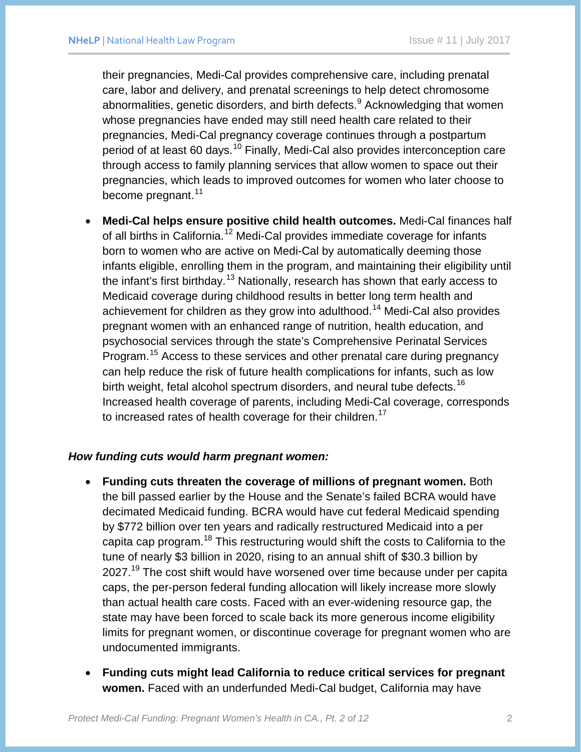their pregnancies, Medi-Cal provides comprehensive care, including prenatal care, labor and delivery, and prenatal screenings to help detect chromosome abnormalities, genetic disorders, and birth defects.<sup>[9](#page-3-1)</sup> Acknowledging that women whose pregnancies have ended may still need health care related to their pregnancies, Medi-Cal pregnancy coverage continues through a postpartum period of at least 60 days.<sup>[10](#page-3-2)</sup> Finally, Medi-Cal also provides interconception care through access to family planning services that allow women to space out their pregnancies, which leads to improved outcomes for women who later choose to become pregnant.<sup>[11](#page-3-3)</sup>

• **Medi-Cal helps ensure positive child health outcomes.** Medi-Cal finances half of all births in California.<sup>[12](#page-3-4)</sup> Medi-Cal provides immediate coverage for infants born to women who are active on Medi-Cal by automatically deeming those infants eligible, enrolling them in the program, and maintaining their eligibility until the infant's first birthday.<sup>[13](#page-3-5)</sup> Nationally, research has shown that early access to Medicaid coverage during childhood results in better long term health and achievement for children as they grow into adulthood.<sup>[14](#page-3-6)</sup> Medi-Cal also provides pregnant women with an enhanced range of nutrition, health education, and psychosocial services through the state's Comprehensive Perinatal Services Program.<sup>[15](#page-3-7)</sup> Access to these services and other prenatal care during pregnancy can help reduce the risk of future health complications for infants, such as low birth weight, fetal alcohol spectrum disorders, and neural tube defects.<sup>[16](#page-3-8)</sup> Increased health coverage of parents, including Medi-Cal coverage, corresponds to increased rates of health coverage for their children.<sup>[17](#page-3-9)</sup>

## *How funding cuts would harm pregnant women:*

- **Funding cuts threaten the coverage of millions of pregnant women.** Both the bill passed earlier by the House and the Senate's failed BCRA would have decimated Medicaid funding. BCRA would have cut federal Medicaid spending by \$772 billion over ten years and radically restructured Medicaid into a per capita cap program.<sup>[18](#page-3-10)</sup> This restructuring would shift the costs to California to the tune of nearly \$3 billion in 2020, rising to an annual shift of \$30.3 billion by 2027.<sup>[19](#page-3-11)</sup> The cost shift would have worsened over time because under per capita caps, the per-person federal funding allocation will likely increase more slowly than actual health care costs. Faced with an ever-widening resource gap, the state may have been forced to scale back its more generous income eligibility limits for pregnant women, or discontinue coverage for pregnant women who are undocumented immigrants.
- **Funding cuts might lead California to reduce critical services for pregnant women.** Faced with an underfunded Medi-Cal budget, California may have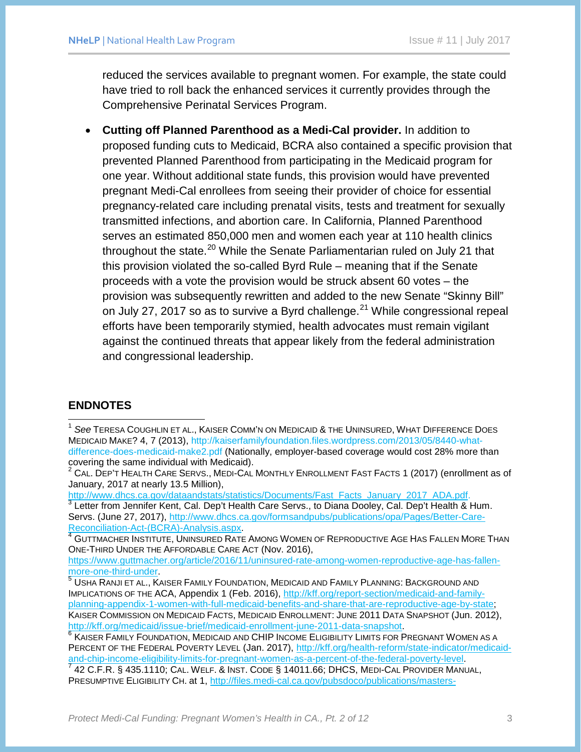reduced the services available to pregnant women. For example, the state could have tried to roll back the enhanced services it currently provides through the Comprehensive Perinatal Services Program.

• **Cutting off Planned Parenthood as a Medi-Cal provider.** In addition to proposed funding cuts to Medicaid, BCRA also contained a specific provision that prevented Planned Parenthood from participating in the Medicaid program for one year. Without additional state funds, this provision would have prevented pregnant Medi-Cal enrollees from seeing their provider of choice for essential pregnancy-related care including prenatal visits, tests and treatment for sexually transmitted infections, and abortion care. In California, Planned Parenthood serves an estimated 850,000 men and women each year at 110 health clinics throughout the state.<sup>[20](#page-3-12)</sup> While the Senate Parliamentarian ruled on July 21 that this provision violated the so-called Byrd Rule – meaning that if the Senate proceeds with a vote the provision would be struck absent 60 votes – the provision was subsequently rewritten and added to the new Senate "Skinny Bill" on July 27, 2017 so as to survive a Byrd challenge.<sup>[21](#page-3-13)</sup> While congressional repeal efforts have been temporarily stymied, health advocates must remain vigilant against the continued threats that appear likely from the federal administration and congressional leadership.

## **ENDNOTES**

<span id="page-2-2"></span> $\frac{3}{3}$  $\frac{3}{3}$  $\frac{3}{3}$  Letter from Jennifer Kent, Cal. Dep't Health Care Servs., to Diana Dooley, Cal. Dep't Health & Hum. Servs. (June 27, 2017), http://www.dhcs.ca.gov/formsandpubs/publications/opa/Pages/Better-Care-<br>Reconciliation-Act-(BCRA)-Analysis.aspx.<br>4 GUITMACHER NISTITUTE LININGER REFERENCE

<span id="page-2-3"></span>GUTTMACHER INSTITUTE, UNINSURED RATE AMONG WOMEN OF REPRODUCTIVE AGE HAS FALLEN MORE THAN ONE-THIRD UNDER THE AFFORDABLE CARE ACT (Nov. 2016),

https://www.guttmacher.org/article/2016/11/uninsured-rate-among-women-reproductive-age-has-fallen-<br>more-one-third-under

<span id="page-2-5"></span> $\frac{6}{6}$  $\frac{6}{6}$  $\frac{6}{6}$  Kaiser Family Foundation, Medicaid and CHIP Income Eligibility Limits for Pregnant Women as a PERCENT OF THE FEDERAL POVERTY LEVEL (Jan. 2017), http://kff.org/health-reform/state-indicator/medicaid-<br>and-chip-income-eligibility-limits-for-pregnant-women-as-a-percent-of-the-federal-poverty-level.

<span id="page-2-6"></span>42 C.F.R. § 435.1110; CAL. WELF. & INST. CODE § 14011.66; DHCS, MEDI-CAL PROVIDER MANUAL, PRESUMPTIVE ELIGIBILITY CH. at 1, [http://files.medi-cal.ca.gov/pubsdoco/publications/masters-](http://files.medi-cal.ca.gov/pubsdoco/publications/masters-mtp/part2/presum_m00o03p00.doc)

<span id="page-2-0"></span> <sup>1</sup> *See* TERESA COUGHLIN ET AL., KAISER COMM'N ON MEDICAID & THE UNINSURED, WHAT DIFFERENCE DOES MEDICAID MAKE? 4, 7 (2013), http://kaiserfamilyfoundation.files.wordpress.com/2013/05/8440-whatdifference-does-medicaid-make2.pdf (Nationally, employer-based coverage would cost 28% more than covering the same individual with Medicaid).

<span id="page-2-1"></span> $^2$  CAL. DEP'T HEALTH CARE SERVS., MEDI-CAL MONTHLY ENROLLMENT FAST FACTS 1 (2017) (enrollment as of January, 2017 at nearly 13.5 Million),<br>http://www.dhcs.ca.gov/dataandstats/statistics/Documents/Fast\_Facts\_January\_2017\_ADA.pdf.

<span id="page-2-4"></span> $^5$  USHA RANJI ET AL., KAISER FAMILY FOUNDATION, MEDICAID AND FAMILY PLANNING: BACKGROUND AND IMPLICATIONS OF THE ACA, Appendix 1 (Feb. 2016), [http://kff.org/report-section/medicaid-and-family](http://kff.org/report-section/medicaid-and-family-planning-appendix-1-women-with-full-medicaid-benefits-and-share-that-are-reproductive-age-by-state)[planning-appendix-1-women-with-full-medicaid-benefits-and-share-that-are-reproductive-age-by-state;](http://kff.org/report-section/medicaid-and-family-planning-appendix-1-women-with-full-medicaid-benefits-and-share-that-are-reproductive-age-by-state) KAISER COMMISSION ON MEDICAID FACTS, MEDICAID ENROLLMENT: JUNE 2011 DATA SNAPSHOT (Jun. 2012), http://kff.org/medicaid/issue-brief/medicaid-enrollment-june-2011-data-snapshot.